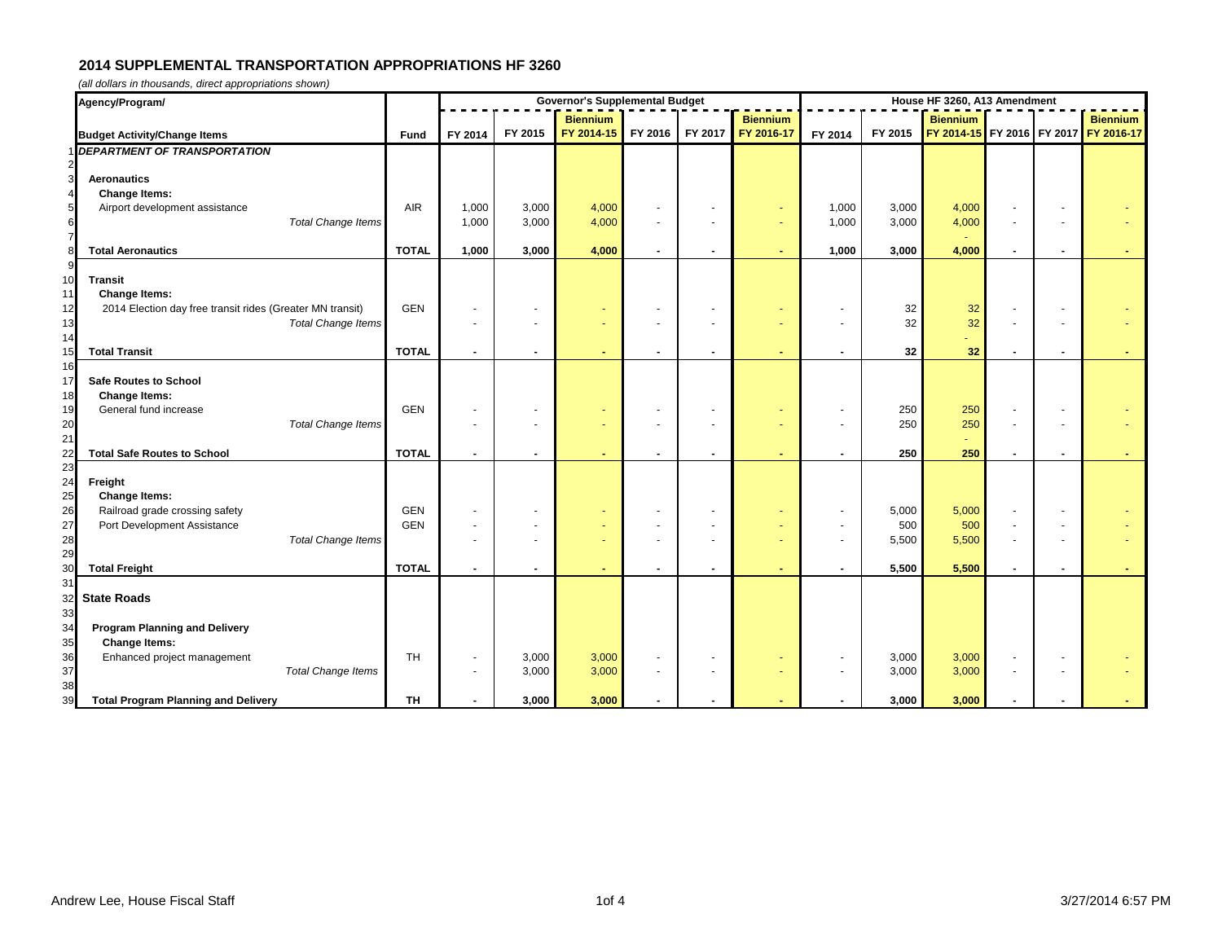| Agency/Program/                                                                         |              | <b>Governor's Supplemental Budget</b> |                          |                 |                |                |                 |                | House HF 3260, A13 Amendment |                 |                |  |                                       |  |  |
|-----------------------------------------------------------------------------------------|--------------|---------------------------------------|--------------------------|-----------------|----------------|----------------|-----------------|----------------|------------------------------|-----------------|----------------|--|---------------------------------------|--|--|
|                                                                                         |              |                                       |                          | <b>Biennium</b> |                |                | <b>Biennium</b> |                |                              | <b>Biennium</b> |                |  | <b>Biennium</b>                       |  |  |
| <b>Budget Activity/Change Items</b>                                                     | <b>Fund</b>  | FY 2014                               | FY 2015                  | FY 2014-15      | FY 2016        | FY 2017        | FY 2016-17      | FY 2014        | FY 2015                      |                 |                |  | FY 2014-15 FY 2016 FY 2017 FY 2016-17 |  |  |
| <b>DEPARTMENT OF TRANSPORTATION</b>                                                     |              |                                       |                          |                 |                |                |                 |                |                              |                 |                |  |                                       |  |  |
|                                                                                         |              |                                       |                          |                 |                |                |                 |                |                              |                 |                |  |                                       |  |  |
| $\overline{\mathbf{3}}$<br><b>Aeronautics</b>                                           |              |                                       |                          |                 |                |                |                 |                |                              |                 |                |  |                                       |  |  |
| <b>Change Items:</b><br>4<br>$\overline{\mathbf{5}}$<br>Airport development assistance  | <b>AIR</b>   | 1,000                                 | 3,000                    | 4,000           |                |                |                 | 1,000          | 3,000                        | 4,000           |                |  |                                       |  |  |
| <b>Total Change Items</b>                                                               |              | 1,000                                 | 3,000                    | 4,000           |                |                |                 | 1,000          | 3,000                        | 4,000           |                |  |                                       |  |  |
| $\frac{6}{7}$                                                                           |              |                                       |                          |                 |                |                |                 |                |                              |                 |                |  |                                       |  |  |
| 8 <sup>1</sup><br><b>Total Aeronautics</b>                                              | <b>TOTAL</b> | 1,000                                 | 3,000                    | 4,000           | $\blacksquare$ | $\blacksquare$ |                 | 1,000          | 3,000                        | 4,000           | $\blacksquare$ |  |                                       |  |  |
|                                                                                         |              |                                       |                          |                 |                |                |                 |                |                              |                 |                |  |                                       |  |  |
| 10<br><b>Transit</b>                                                                    |              |                                       |                          |                 |                |                |                 |                |                              |                 |                |  |                                       |  |  |
| <b>Change Items:</b><br>2014 Election day free transit rides (Greater MN transit)<br>12 | <b>GEN</b>   |                                       |                          |                 |                |                |                 |                | 32                           | 32              |                |  |                                       |  |  |
| 13<br><b>Total Change Items</b>                                                         |              |                                       |                          |                 |                |                |                 |                | 32                           | 32              |                |  |                                       |  |  |
| 14                                                                                      |              |                                       |                          |                 |                |                |                 |                |                              | ä,              |                |  |                                       |  |  |
| <b>Total Transit</b>                                                                    | <b>TOTAL</b> | $\overline{\phantom{a}}$              | $\blacksquare$           |                 |                |                |                 |                | 32                           | 32              |                |  |                                       |  |  |
| 16                                                                                      |              |                                       |                          |                 |                |                |                 |                |                              |                 |                |  |                                       |  |  |
| <b>Safe Routes to School</b><br>17                                                      |              |                                       |                          |                 |                |                |                 |                |                              |                 |                |  |                                       |  |  |
| <b>Change Items:</b><br>18<br>General fund increase<br>19                               | <b>GEN</b>   |                                       |                          |                 |                |                |                 |                | 250                          | 250             |                |  |                                       |  |  |
| <b>Total Change Items</b>                                                               |              |                                       |                          |                 |                |                |                 | $\blacksquare$ | 250                          | 250             |                |  |                                       |  |  |
| 21                                                                                      |              |                                       |                          |                 |                |                |                 |                |                              | ÷.              |                |  |                                       |  |  |
| <b>Total Safe Routes to School</b>                                                      | <b>TOTAL</b> | $\blacksquare$                        |                          |                 |                |                |                 |                | 250                          | 250             |                |  |                                       |  |  |
| 23                                                                                      |              |                                       |                          |                 |                |                |                 |                |                              |                 |                |  |                                       |  |  |
| 24<br>Freight                                                                           |              |                                       |                          |                 |                |                |                 |                |                              |                 |                |  |                                       |  |  |
| <b>Change Items:</b><br>25<br>Railroad grade crossing safety<br>26                      | <b>GEN</b>   |                                       |                          |                 |                |                |                 |                | 5,000                        | 5,000           |                |  |                                       |  |  |
| Port Development Assistance<br>27                                                       | <b>GEN</b>   |                                       |                          |                 |                |                |                 |                | 500                          | 500             |                |  |                                       |  |  |
| <b>Total Change Items</b><br>28                                                         |              |                                       |                          |                 |                |                |                 | $\blacksquare$ | 5,500                        | 5,500           |                |  |                                       |  |  |
| 29                                                                                      |              |                                       |                          |                 |                |                |                 |                |                              |                 |                |  |                                       |  |  |
| <b>Total Freight</b><br>30                                                              | <b>TOTAL</b> | $\blacksquare$                        | $\overline{\phantom{a}}$ |                 |                |                |                 |                | 5,500                        | 5,500           |                |  |                                       |  |  |
|                                                                                         |              |                                       |                          |                 |                |                |                 |                |                              |                 |                |  |                                       |  |  |
| <b>State Roads</b>                                                                      |              |                                       |                          |                 |                |                |                 |                |                              |                 |                |  |                                       |  |  |
| 33<br><b>Program Planning and Delivery</b><br>34                                        |              |                                       |                          |                 |                |                |                 |                |                              |                 |                |  |                                       |  |  |
| <b>Change Items:</b><br>35                                                              |              |                                       |                          |                 |                |                |                 |                |                              |                 |                |  |                                       |  |  |
| Enhanced project management<br>36                                                       | TH           |                                       | 3,000                    | 3,000           |                | $\sim$         |                 | $\sim$         | 3,000                        | 3,000           |                |  |                                       |  |  |
| 37<br><b>Total Change Items</b>                                                         |              |                                       | 3,000                    | 3,000           |                | $\sim$         | ÷               | $\sim$         | 3,000                        | 3,000           |                |  |                                       |  |  |
| 38                                                                                      |              |                                       |                          |                 |                |                |                 |                |                              |                 |                |  |                                       |  |  |
| <b>Total Program Planning and Delivery</b><br>39                                        | <b>TH</b>    |                                       | 3,000                    | 3,000           |                |                |                 |                | 3,000                        | 3,000           |                |  |                                       |  |  |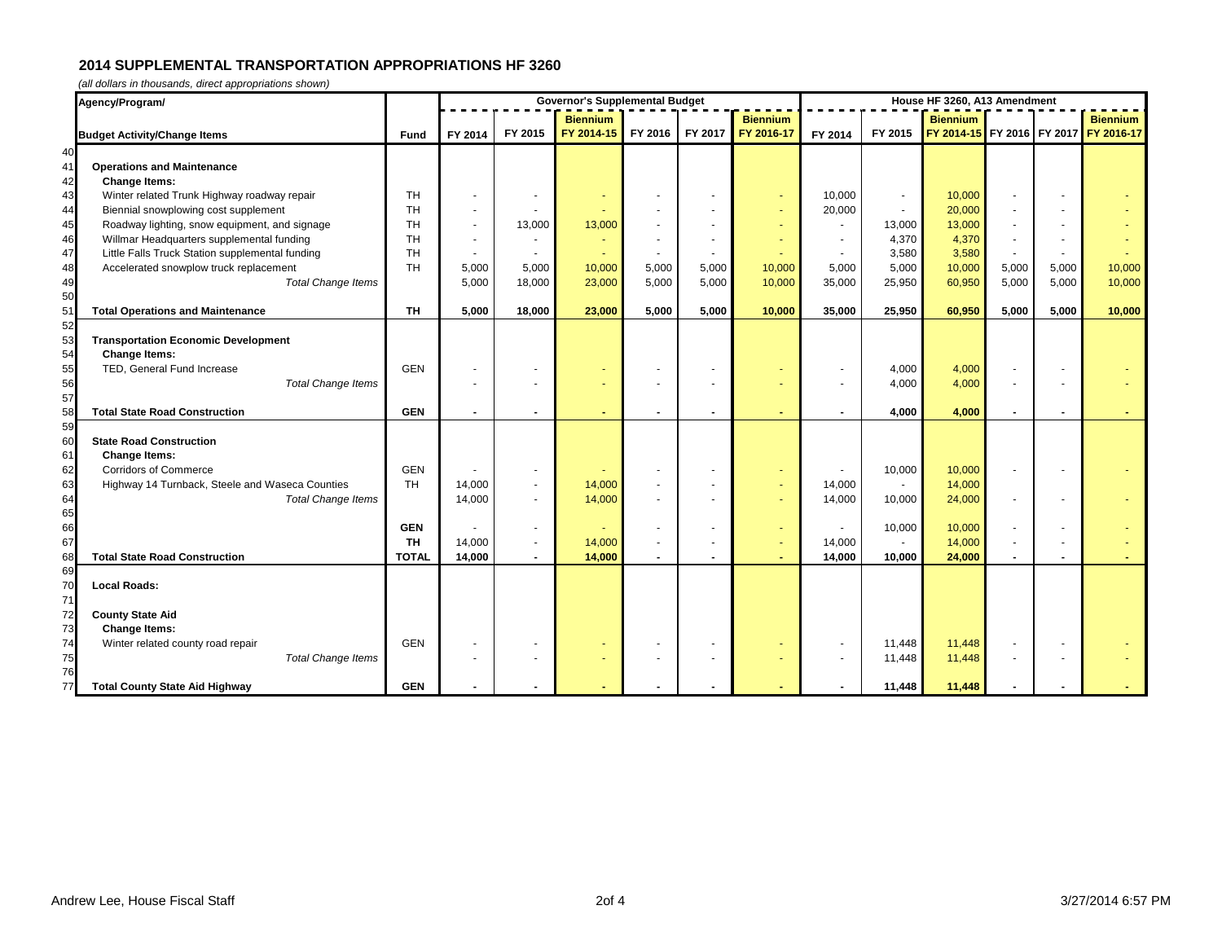| Agency/Program/                                       |              |                |                | <b>Governor's Supplemental Budget</b> | House HF 3260, A13 Amendment |                 |                 |                |                          |                 |       |       |                                       |
|-------------------------------------------------------|--------------|----------------|----------------|---------------------------------------|------------------------------|-----------------|-----------------|----------------|--------------------------|-----------------|-------|-------|---------------------------------------|
|                                                       |              |                |                | <b>Biennium</b>                       |                              |                 | <b>Biennium</b> |                |                          | <b>Biennium</b> |       |       | <b>Biennium</b>                       |
| <b>Budget Activity/Change Items</b>                   | <b>Fund</b>  | FY 2014        | FY 2015        | FY 2014-15                            |                              | FY 2016 FY 2017 | FY 2016-17      | FY 2014        | FY 2015                  |                 |       |       | FY 2014-15 FY 2016 FY 2017 FY 2016-17 |
| 40                                                    |              |                |                |                                       |                              |                 |                 |                |                          |                 |       |       |                                       |
| 41<br><b>Operations and Maintenance</b>               |              |                |                |                                       |                              |                 |                 |                |                          |                 |       |       |                                       |
| 42<br><b>Change Items:</b>                            |              |                |                |                                       |                              |                 |                 |                |                          |                 |       |       |                                       |
| 43<br>Winter related Trunk Highway roadway repair     | <b>TH</b>    |                |                |                                       |                              |                 |                 | 10,000         | $\overline{\phantom{a}}$ | 10,000          |       |       |                                       |
| 44<br>Biennial snowplowing cost supplement            | <b>TH</b>    | $\blacksquare$ |                |                                       |                              |                 |                 | 20,000         | $\sim$                   | 20,000          |       |       |                                       |
| 45<br>Roadway lighting, snow equipment, and signage   | <b>TH</b>    | $\sim$         | 13,000         | 13,000                                |                              |                 |                 | $\blacksquare$ | 13,000                   | 13,000          |       |       |                                       |
| 46<br>Willmar Headquarters supplemental funding       | <b>TH</b>    | $\blacksquare$ | $\sim$         |                                       |                              |                 |                 | $\sim$         | 4,370                    | 4,370           |       |       |                                       |
| 47<br>Little Falls Truck Station supplemental funding | <b>TH</b>    |                |                |                                       |                              |                 |                 |                | 3,580                    | 3,580           |       |       |                                       |
| 48<br>Accelerated snowplow truck replacement          | <b>TH</b>    | 5,000          | 5,000          | 10,000                                | 5,000                        | 5,000           | 10,000          | 5,000          | 5,000                    | 10,000          | 5,000 | 5,000 | 10,000                                |
| 49<br><b>Total Change Items</b>                       |              | 5,000          | 18,000         | 23,000                                | 5,000                        | 5,000           | 10,000          | 35,000         | 25,950                   | 60,950          | 5,000 | 5,000 | 10,000                                |
| 50                                                    |              |                |                |                                       |                              |                 |                 |                |                          |                 |       |       |                                       |
| 51<br><b>Total Operations and Maintenance</b><br>52   | <b>TH</b>    | 5,000          | 18,000         | 23,000                                | 5,000                        | 5,000           | 10,000          | 35,000         | 25,950                   | 60,950          | 5,000 | 5,000 | 10,000                                |
| 53<br><b>Transportation Economic Development</b>      |              |                |                |                                       |                              |                 |                 |                |                          |                 |       |       |                                       |
| 54<br><b>Change Items:</b>                            |              |                |                |                                       |                              |                 |                 |                |                          |                 |       |       |                                       |
| 55<br>TED, General Fund Increase                      | <b>GEN</b>   |                |                |                                       |                              |                 |                 |                | 4,000                    | 4,000           |       |       |                                       |
| <b>Total Change Items</b>                             |              |                |                |                                       |                              |                 |                 |                | 4,000                    | 4,000           |       |       |                                       |
| 56<br>57                                              |              |                |                |                                       |                              |                 |                 |                |                          |                 |       |       |                                       |
| 58<br><b>Total State Road Construction</b>            | <b>GEN</b>   | $\blacksquare$ |                |                                       |                              |                 |                 |                | 4,000                    | 4,000           |       |       |                                       |
| 59                                                    |              |                |                |                                       |                              |                 |                 |                |                          |                 |       |       |                                       |
| 60<br><b>State Road Construction</b>                  |              |                |                |                                       |                              |                 |                 |                |                          |                 |       |       |                                       |
| 61<br><b>Change Items:</b>                            |              |                |                |                                       |                              |                 |                 |                |                          |                 |       |       |                                       |
| 62<br><b>Corridors of Commerce</b>                    | <b>GEN</b>   |                |                |                                       |                              |                 |                 |                | 10,000                   | 10,000          |       |       |                                       |
| 63<br>Highway 14 Turnback, Steele and Waseca Counties | <b>TH</b>    | 14,000         |                | 14,000                                |                              |                 |                 | 14,000         |                          | 14,000          |       |       |                                       |
| 64<br><b>Total Change Items</b>                       |              | 14,000         | $\sim$         | 14,000                                |                              |                 |                 | 14,000         | 10,000                   | 24,000          |       |       |                                       |
| 65<br>66                                              |              |                |                |                                       |                              |                 |                 |                |                          |                 |       |       |                                       |
|                                                       | <b>GEN</b>   |                |                |                                       |                              |                 |                 |                | 10,000                   | 10,000          |       |       |                                       |
| 67                                                    | <b>TH</b>    | 14,000         | $\sim$         | 14,000                                |                              |                 |                 | 14,000         | $\sim$                   | 14,000          |       |       |                                       |
| 68<br><b>Total State Road Construction</b>            | <b>TOTAL</b> | 14,000         | $\blacksquare$ | 14,000                                |                              |                 |                 | 14,000         | 10,000                   | 24,000          |       |       |                                       |
| 69<br>70<br><b>Local Roads:</b>                       |              |                |                |                                       |                              |                 |                 |                |                          |                 |       |       |                                       |
| 71                                                    |              |                |                |                                       |                              |                 |                 |                |                          |                 |       |       |                                       |
| 72<br><b>County State Aid</b>                         |              |                |                |                                       |                              |                 |                 |                |                          |                 |       |       |                                       |
| 73<br><b>Change Items:</b>                            |              |                |                |                                       |                              |                 |                 |                |                          |                 |       |       |                                       |
| 74<br>Winter related county road repair               | <b>GEN</b>   |                |                |                                       |                              |                 |                 |                | 11,448                   | 11,448          |       |       |                                       |
| 75<br><b>Total Change Items</b>                       |              |                |                |                                       |                              |                 |                 |                | 11,448                   | 11,448          |       |       |                                       |
| 76                                                    |              |                |                |                                       |                              |                 |                 |                |                          |                 |       |       |                                       |
| 77<br><b>Total County State Aid Highway</b>           | <b>GEN</b>   |                |                |                                       |                              |                 |                 |                | 11,448                   | 11,448          |       |       |                                       |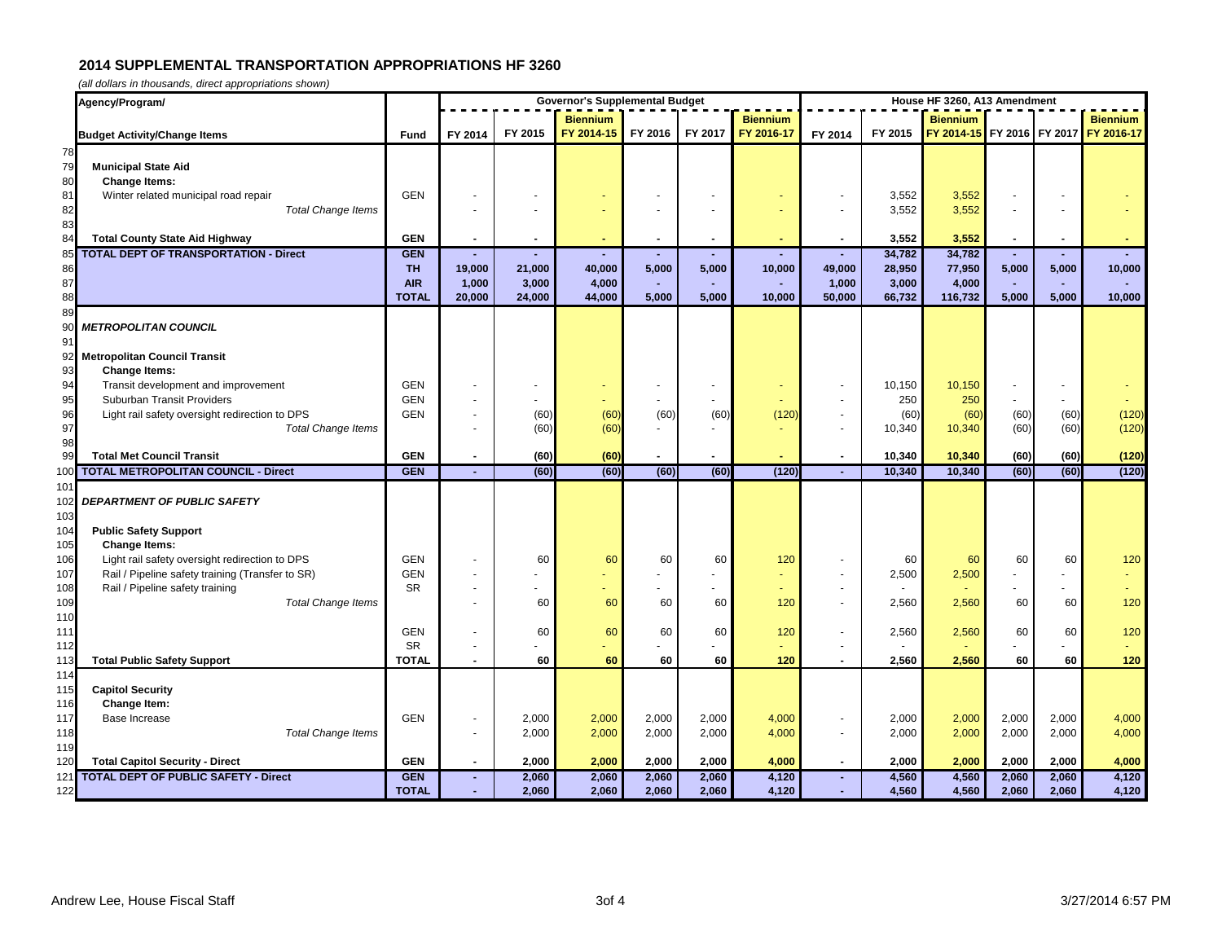|                        | Agency/Program/                                  |                         | <b>Governor's Supplemental Budget</b> |                 |                    |                |                 |                 | House HF 3260, A13 Amendment |                 |                                       |              |              |                 |  |
|------------------------|--------------------------------------------------|-------------------------|---------------------------------------|-----------------|--------------------|----------------|-----------------|-----------------|------------------------------|-----------------|---------------------------------------|--------------|--------------|-----------------|--|
|                        |                                                  |                         |                                       |                 | <b>Biennium</b>    |                |                 | <b>Biennium</b> |                              |                 | <b>Biennium</b>                       |              |              | <b>Biennium</b> |  |
|                        | <b>Budget Activity/Change Items</b>              | Fund                    | FY 2014                               | FY 2015         | FY 2014-15 FY 2016 |                | FY 2017         | FY 2016-17      | FY 2014                      | FY 2015         | FY 2014-15 FY 2016 FY 2017 FY 2016-17 |              |              |                 |  |
| 78                     |                                                  |                         |                                       |                 |                    |                |                 |                 |                              |                 |                                       |              |              |                 |  |
| 79                     | <b>Municipal State Aid</b>                       |                         |                                       |                 |                    |                |                 |                 |                              |                 |                                       |              |              |                 |  |
| 80                     | <b>Change Items:</b>                             |                         |                                       |                 |                    |                |                 |                 |                              |                 |                                       |              |              |                 |  |
| 81                     | Winter related municipal road repair             | <b>GEN</b>              |                                       |                 |                    |                |                 |                 |                              | 3,552           | 3,552                                 |              |              |                 |  |
| 82                     | <b>Total Change Items</b>                        |                         |                                       |                 |                    |                |                 |                 |                              | 3,552           | 3,552                                 |              |              |                 |  |
| 83                     |                                                  |                         |                                       |                 |                    |                |                 |                 |                              |                 |                                       |              |              |                 |  |
| 84                     | <b>Total County State Aid Highway</b>            | <b>GEN</b>              |                                       |                 |                    |                |                 |                 |                              | 3,552           | 3,552                                 |              |              |                 |  |
| 85                     | <b>TOTAL DEPT OF TRANSPORTATION - Direct</b>     | <b>GEN</b>              |                                       |                 |                    |                |                 |                 |                              | 34,782          | 34,782                                |              |              |                 |  |
| 86                     |                                                  | <b>TH</b><br><b>AIR</b> | 19,000<br>1,000                       | 21,000          | 40,000<br>4,000    | 5,000          | 5,000           | 10,000          | 49,000                       | 28,950          | 77,950                                | 5,000        | 5,000        | 10,000          |  |
| 87<br>88               |                                                  | <b>TOTAL</b>            | 20,000                                | 3,000<br>24,000 | 44,000             | ×.<br>5,000    | $\sim$<br>5,000 | 10,000          | 1,000<br>50,000              | 3,000<br>66,732 | 4,000<br>116,732                      | 5,000        | 5,000        | 10,000          |  |
| 89                     |                                                  |                         |                                       |                 |                    |                |                 |                 |                              |                 |                                       |              |              |                 |  |
| 90                     | <b>METROPOLITAN COUNCIL</b>                      |                         |                                       |                 |                    |                |                 |                 |                              |                 |                                       |              |              |                 |  |
| 91                     |                                                  |                         |                                       |                 |                    |                |                 |                 |                              |                 |                                       |              |              |                 |  |
| 92                     | <b>Metropolitan Council Transit</b>              |                         |                                       |                 |                    |                |                 |                 |                              |                 |                                       |              |              |                 |  |
| 93                     | <b>Change Items:</b>                             |                         |                                       |                 |                    |                |                 |                 |                              |                 |                                       |              |              |                 |  |
| 94                     | Transit development and improvement              | <b>GEN</b>              |                                       |                 |                    |                |                 |                 |                              | 10,150          | 10,150                                |              |              |                 |  |
| 95                     | Suburban Transit Providers                       | <b>GEN</b>              |                                       |                 |                    |                |                 |                 |                              | 250             | 250                                   |              |              |                 |  |
| 96                     | Light rail safety oversight redirection to DPS   | <b>GEN</b>              |                                       | (60)            | (60)               | (60)           | (60)            | (120)           |                              | (60)            | (60)                                  | (60)         | (60)         | (120)           |  |
| 97                     | <b>Total Change Items</b>                        |                         |                                       | (60)            | (60)               |                |                 |                 |                              | 10,340          | 10,340                                | (60)         | (60)         | (120)           |  |
| 98                     |                                                  |                         |                                       |                 |                    |                |                 |                 |                              |                 |                                       |              |              |                 |  |
| 99                     | <b>Total Met Council Transit</b>                 | <b>GEN</b>              |                                       | (60)            | (60)<br>(60)       | $\blacksquare$ |                 |                 |                              | 10,340          | 10,340                                | (60)<br>(60) | (60)<br>(60) | (120)<br>(120)  |  |
| 10 <sub>0</sub><br>101 | <b>TOTAL METROPOLITAN COUNCIL - Direct</b>       | <b>GEN</b>              | ٠                                     | (60)            |                    | (60)           | (60)            | (120)           | $\sim$                       | 10,340          | 10,340                                |              |              |                 |  |
| 102                    | DEPARTMENT OF PUBLIC SAFETY                      |                         |                                       |                 |                    |                |                 |                 |                              |                 |                                       |              |              |                 |  |
| 103                    |                                                  |                         |                                       |                 |                    |                |                 |                 |                              |                 |                                       |              |              |                 |  |
| 104                    | <b>Public Safety Support</b>                     |                         |                                       |                 |                    |                |                 |                 |                              |                 |                                       |              |              |                 |  |
| 105                    | <b>Change Items:</b>                             |                         |                                       |                 |                    |                |                 |                 |                              |                 |                                       |              |              |                 |  |
| 106                    | Light rail safety oversight redirection to DPS   | <b>GEN</b>              |                                       | 60              | 60                 | 60             | 60              | 120             |                              | 60              | 60                                    | 60           | 60           | 120             |  |
| 107                    | Rail / Pipeline safety training (Transfer to SR) | <b>GEN</b>              |                                       |                 |                    |                |                 | $\omega$        |                              | 2,500           | 2,500                                 |              |              |                 |  |
| 108                    | Rail / Pipeline safety training                  | <b>SR</b>               |                                       |                 |                    |                |                 |                 |                              |                 |                                       |              |              |                 |  |
| 109                    | <b>Total Change Items</b>                        |                         |                                       | 60              | 60                 | 60             | 60              | 120             |                              | 2,560           | 2,560                                 | 60           | 60           | 120             |  |
| 110                    |                                                  |                         |                                       |                 |                    |                |                 |                 |                              |                 |                                       |              |              |                 |  |
| 111                    |                                                  | <b>GEN</b>              |                                       | 60              | 60                 | 60             | 60              | 120             |                              | 2,560           | 2,560                                 | 60           | 60           | 120             |  |
| 112                    |                                                  | <b>SR</b>               |                                       |                 |                    |                |                 |                 |                              |                 |                                       |              |              |                 |  |
| 113<br>114             | <b>Total Public Safety Support</b>               | <b>TOTAL</b>            |                                       | 60              | 60                 | 60             | 60              | 120             |                              | 2,560           | 2,560                                 | 60           | 60           | 120             |  |
| 115                    | <b>Capitol Security</b>                          |                         |                                       |                 |                    |                |                 |                 |                              |                 |                                       |              |              |                 |  |
| 116                    | Change Item:                                     |                         |                                       |                 |                    |                |                 |                 |                              |                 |                                       |              |              |                 |  |
| 117                    | Base Increase                                    | <b>GEN</b>              | $\blacksquare$                        | 2,000           | 2,000              | 2,000          | 2,000           | 4,000           |                              | 2,000           | 2,000                                 | 2,000        | 2,000        | 4,000           |  |
| 118                    | <b>Total Change Items</b>                        |                         | $\blacksquare$                        | 2,000           | 2,000              | 2,000          | 2,000           | 4,000           |                              | 2,000           | 2,000                                 | 2,000        | 2,000        | 4,000           |  |
| 119                    |                                                  |                         |                                       |                 |                    |                |                 |                 |                              |                 |                                       |              |              |                 |  |
| 120                    | <b>Total Capitol Security - Direct</b>           | <b>GEN</b>              | $\blacksquare$                        | 2,000           | 2,000              | 2,000          | 2,000           | 4,000           | $\blacksquare$               | 2,000           | 2,000                                 | 2,000        | 2,000        | 4,000           |  |
| 121                    | <b>TOTAL DEPT OF PUBLIC SAFETY - Direct</b>      | <b>GEN</b>              | ٠                                     | 2,060           | 2,060              | 2,060          | 2,060           | 4,120           | ٠                            | 4,560           | 4,560                                 | 2,060        | 2,060        | 4,120           |  |
| 122                    |                                                  | <b>TOTAL</b>            |                                       | 2,060           | 2,060              | 2,060          | 2,060           | 4,120           |                              | 4,560           | 4,560                                 | 2,060        | 2,060        | 4,120           |  |